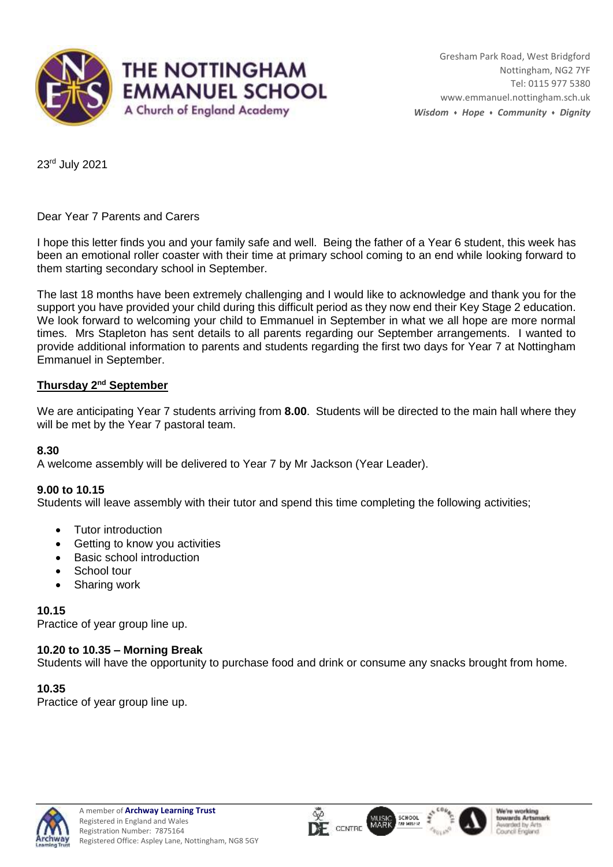

23rd July 2021

Dear Year 7 Parents and Carers

I hope this letter finds you and your family safe and well. Being the father of a Year 6 student, this week has been an emotional roller coaster with their time at primary school coming to an end while looking forward to them starting secondary school in September.

The last 18 months have been extremely challenging and I would like to acknowledge and thank you for the support you have provided your child during this difficult period as they now end their Key Stage 2 education. We look forward to welcoming your child to Emmanuel in September in what we all hope are more normal times. Mrs Stapleton has sent details to all parents regarding our September arrangements. I wanted to provide additional information to parents and students regarding the first two days for Year 7 at Nottingham Emmanuel in September.

# **Thursday 2nd September**

We are anticipating Year 7 students arriving from **8.00**. Students will be directed to the main hall where they will be met by the Year 7 pastoral team.

## **8.30**

A welcome assembly will be delivered to Year 7 by Mr Jackson (Year Leader).

## **9.00 to 10.15**

Students will leave assembly with their tutor and spend this time completing the following activities;

- Tutor introduction
- Getting to know you activities
- Basic school introduction
- School tour
- Sharing work

## **10.15**

Practice of year group line up.

# **10.20 to 10.35 – Morning Break**

Students will have the opportunity to purchase food and drink or consume any snacks brought from home.

## **10.35**

Practice of year group line up.